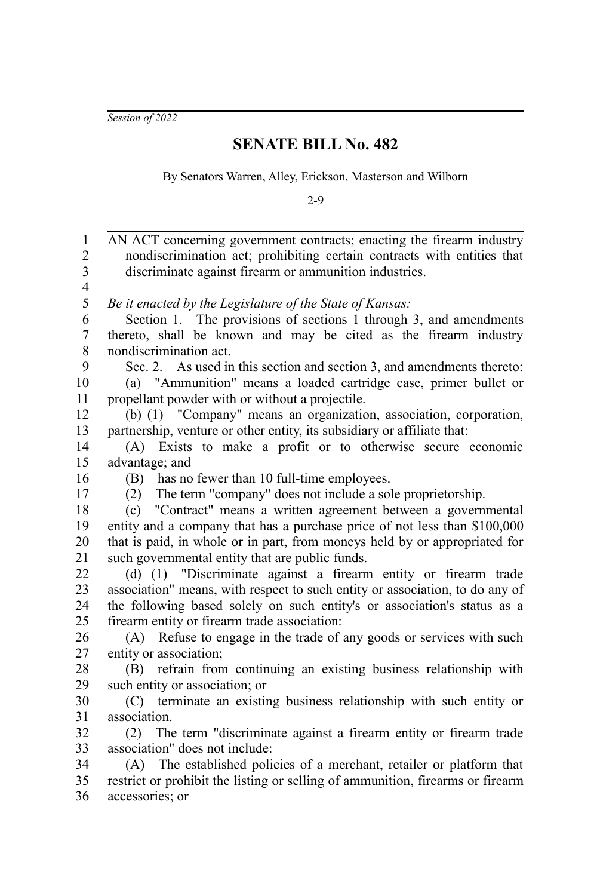*Session of 2022*

## **SENATE BILL No. 482**

By Senators Warren, Alley, Erickson, Masterson and Wilborn

2-9

AN ACT concerning government contracts; enacting the firearm industry nondiscrimination act; prohibiting certain contracts with entities that discriminate against firearm or ammunition industries. *Be it enacted by the Legislature of the State of Kansas:* Section 1. The provisions of sections 1 through 3, and amendments thereto, shall be known and may be cited as the firearm industry nondiscrimination act. Sec. 2. As used in this section and section 3, and amendments thereto: (a) "Ammunition" means a loaded cartridge case, primer bullet or propellant powder with or without a projectile. (b) (1) "Company" means an organization, association, corporation, partnership, venture or other entity, its subsidiary or affiliate that: (A) Exists to make a profit or to otherwise secure economic advantage; and (B) has no fewer than 10 full-time employees. (2) The term "company" does not include a sole proprietorship. (c) "Contract" means a written agreement between a governmental entity and a company that has a purchase price of not less than \$100,000 that is paid, in whole or in part, from moneys held by or appropriated for such governmental entity that are public funds. (d) (1) "Discriminate against a firearm entity or firearm trade association" means, with respect to such entity or association, to do any of the following based solely on such entity's or association's status as a firearm entity or firearm trade association: (A) Refuse to engage in the trade of any goods or services with such entity or association; (B) refrain from continuing an existing business relationship with such entity or association; or (C) terminate an existing business relationship with such entity or association. (2) The term "discriminate against a firearm entity or firearm trade association" does not include: (A) The established policies of a merchant, retailer or platform that restrict or prohibit the listing or selling of ammunition, firearms or firearm accessories; or 1 2 3 4 5 6 7 8 9 10 11 12 13 14 15 16 17 18 19 20 21 22 23 24 25 26 27 28 29 30 31 32 33 34 35 36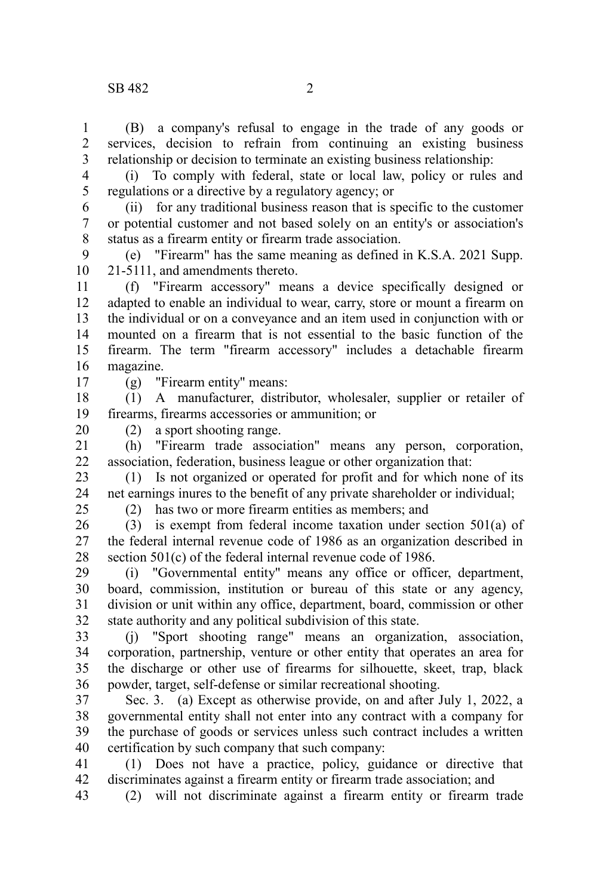(B) a company's refusal to engage in the trade of any goods or services, decision to refrain from continuing an existing business relationship or decision to terminate an existing business relationship: 1 2 3

4 5

(i) To comply with federal, state or local law, policy or rules and regulations or a directive by a regulatory agency; or

(ii) for any traditional business reason that is specific to the customer or potential customer and not based solely on an entity's or association's status as a firearm entity or firearm trade association. 6 7 8

(e) "Firearm" has the same meaning as defined in K.S.A. 2021 Supp. 21-5111, and amendments thereto. 9 10

(f) "Firearm accessory" means a device specifically designed or adapted to enable an individual to wear, carry, store or mount a firearm on the individual or on a conveyance and an item used in conjunction with or mounted on a firearm that is not essential to the basic function of the firearm. The term "firearm accessory" includes a detachable firearm magazine. 11 12 13 14 15 16

17

(g) "Firearm entity" means:

(1) A manufacturer, distributor, wholesaler, supplier or retailer of firearms, firearms accessories or ammunition; or 18 19

(2) a sport shooting range. 20

(h) "Firearm trade association" means any person, corporation, association, federation, business league or other organization that: 21 22

(1) Is not organized or operated for profit and for which none of its net earnings inures to the benefit of any private shareholder or individual; 23 24  $25$ 

(2) has two or more firearm entities as members; and

(3) is exempt from federal income taxation under section 501(a) of the federal internal revenue code of 1986 as an organization described in section 501(c) of the federal internal revenue code of 1986. 26 27 28

(i) "Governmental entity" means any office or officer, department, board, commission, institution or bureau of this state or any agency, division or unit within any office, department, board, commission or other state authority and any political subdivision of this state. 29 30 31 32

(j) "Sport shooting range" means an organization, association, corporation, partnership, venture or other entity that operates an area for the discharge or other use of firearms for silhouette, skeet, trap, black powder, target, self-defense or similar recreational shooting. 33 34 35 36

Sec. 3. (a) Except as otherwise provide, on and after July 1, 2022, a governmental entity shall not enter into any contract with a company for the purchase of goods or services unless such contract includes a written certification by such company that such company: 37 38 39 40

(1) Does not have a practice, policy, guidance or directive that discriminates against a firearm entity or firearm trade association; and 41 42

(2) will not discriminate against a firearm entity or firearm trade 43